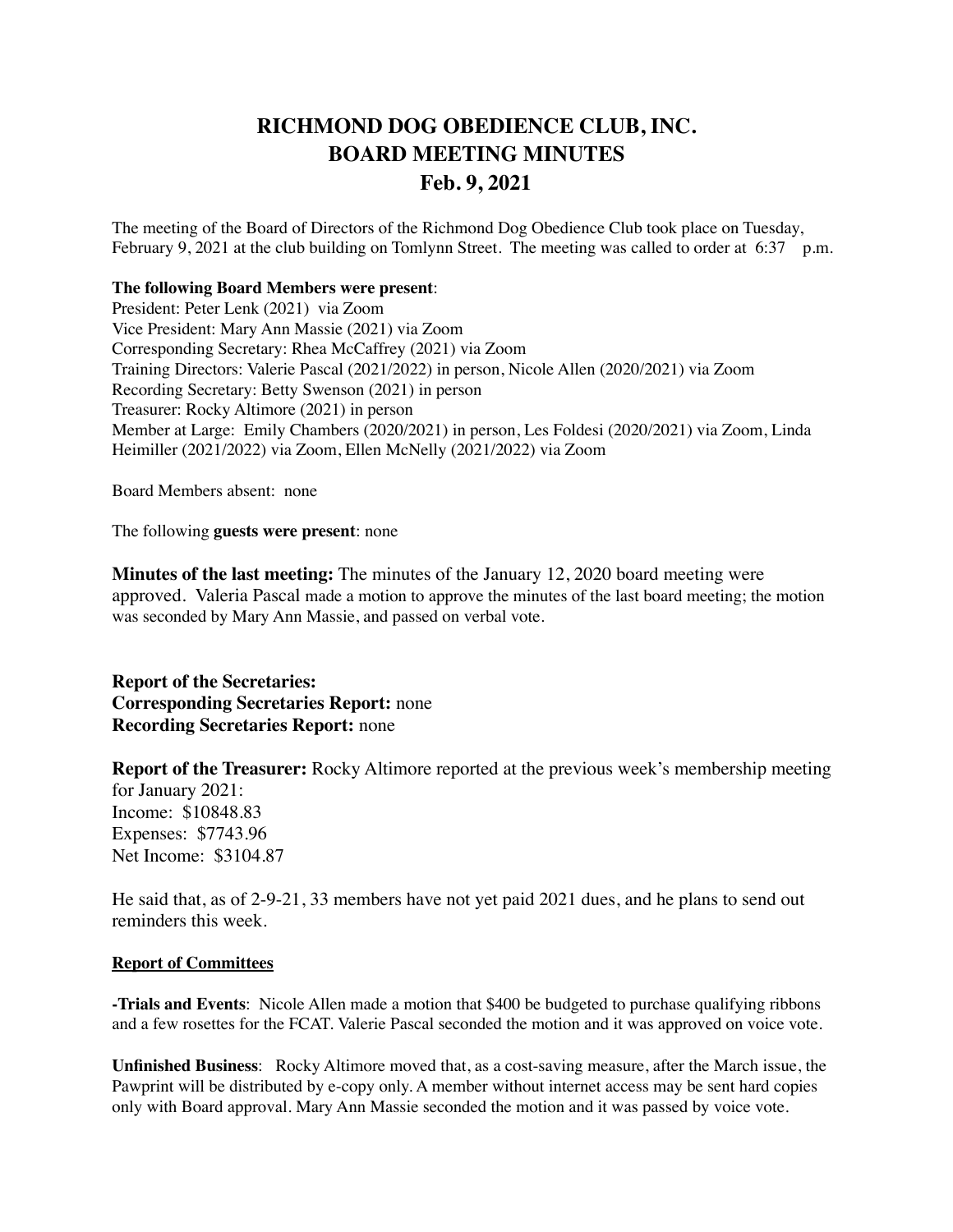## **RICHMOND DOG OBEDIENCE CLUB, INC. BOARD MEETING MINUTES Feb. 9, 2021**

The meeting of the Board of Directors of the Richmond Dog Obedience Club took place on Tuesday, February 9, 2021 at the club building on Tomlynn Street. The meeting was called to order at 6:37 p.m.

## **The following Board Members were present**:

President: Peter Lenk (2021) via Zoom Vice President: Mary Ann Massie (2021) via Zoom Corresponding Secretary: Rhea McCaffrey (2021) via Zoom Training Directors: Valerie Pascal (2021/2022) in person, Nicole Allen (2020/2021) via Zoom Recording Secretary: Betty Swenson (2021) in person Treasurer: Rocky Altimore (2021) in person Member at Large: Emily Chambers (2020/2021) in person, Les Foldesi (2020/2021) via Zoom, Linda Heimiller (2021/2022) via Zoom, Ellen McNelly (2021/2022) via Zoom

Board Members absent: none

The following **guests were present**: none

**Minutes of the last meeting:** The minutes of the January 12, 2020 board meeting were approved. Valeria Pascal made a motion to approve the minutes of the last board meeting; the motion was seconded by Mary Ann Massie, and passed on verbal vote.

**Report of the Secretaries: Corresponding Secretaries Report:** none **Recording Secretaries Report:** none

**Report of the Treasurer:** Rocky Altimore reported at the previous week's membership meeting for January 2021: Income: \$10848.83 Expenses: \$7743.96 Net Income: \$3104.87

He said that, as of 2-9-21, 33 members have not yet paid 2021 dues, and he plans to send out reminders this week.

## **Report of Committees**

**-Trials and Events**: Nicole Allen made a motion that \$400 be budgeted to purchase qualifying ribbons and a few rosettes for the FCAT. Valerie Pascal seconded the motion and it was approved on voice vote.

**Unfinished Business**: Rocky Altimore moved that, as a cost-saving measure, after the March issue, the Pawprint will be distributed by e-copy only. A member without internet access may be sent hard copies only with Board approval. Mary Ann Massie seconded the motion and it was passed by voice vote.